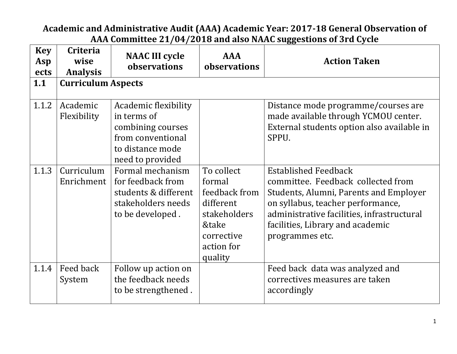## **Academic and Administrative Audit (AAA) Academic Year: 2017-18 General Observation of AAA Committee 21/04/2018 and also NAAC suggestions of 3rd Cycle**

| <b>Key</b><br>Asp<br>ects | <b>Criteria</b><br>wise<br><b>Analysis</b> | <b>NAAC III cycle</b><br>observations                                                                                                     | <b>AAA</b><br>observations                                                                                         | <b>Action Taken</b>                                                                                                                                                                                                                                   |
|---------------------------|--------------------------------------------|-------------------------------------------------------------------------------------------------------------------------------------------|--------------------------------------------------------------------------------------------------------------------|-------------------------------------------------------------------------------------------------------------------------------------------------------------------------------------------------------------------------------------------------------|
| 1.1                       | <b>Curriculum Aspects</b>                  |                                                                                                                                           |                                                                                                                    |                                                                                                                                                                                                                                                       |
| 1.1.2                     | Academic<br>Flexibility<br>Curriculum      | Academic flexibility<br>in terms of<br>combining courses<br>from conventional<br>to distance mode<br>need to provided<br>Formal mechanism |                                                                                                                    | Distance mode programme/courses are<br>made available through YCMOU center.<br>External students option also available in<br>SPPU.                                                                                                                    |
| 1.1.3                     | Enrichment                                 | for feedback from<br>students & different<br>stakeholders needs<br>to be developed.                                                       | To collect<br>formal<br>feedback from<br>different<br>stakeholders<br>&take<br>corrective<br>action for<br>quality | <b>Established Feedback</b><br>committee. Feedback collected from<br>Students, Alumni, Parents and Employer<br>on syllabus, teacher performance,<br>administrative facilities, infrastructural<br>facilities, Library and academic<br>programmes etc. |
| 1.1.4                     | Feed back<br>System                        | Follow up action on<br>the feedback needs<br>to be strengthened.                                                                          |                                                                                                                    | Feed back data was analyzed and<br>correctives measures are taken<br>accordingly                                                                                                                                                                      |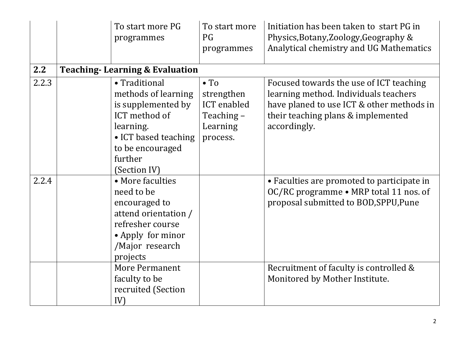|       | To start more PG<br>programmes                                                                                                                                  | To start more<br>PG<br>programmes                                                      | Initiation has been taken to start PG in<br>Physics, Botany, Zoology, Geography &<br>Analytical chemistry and UG Mathematics                                                        |
|-------|-----------------------------------------------------------------------------------------------------------------------------------------------------------------|----------------------------------------------------------------------------------------|-------------------------------------------------------------------------------------------------------------------------------------------------------------------------------------|
| 2.2   | <b>Teaching-Learning &amp; Evaluation</b>                                                                                                                       |                                                                                        |                                                                                                                                                                                     |
| 2.2.3 | • Traditional<br>methods of learning<br>is supplemented by<br>ICT method of<br>learning.<br>• ICT based teaching<br>to be encouraged<br>further<br>(Section IV) | $\bullet$ To<br>strengthen<br><b>ICT</b> enabled<br>Teaching –<br>Learning<br>process. | Focused towards the use of ICT teaching<br>learning method. Individuals teachers<br>have planed to use ICT & other methods in<br>their teaching plans & implemented<br>accordingly. |
| 2.2.4 | • More faculties<br>need to be<br>encouraged to<br>attend orientation /<br>refresher course<br>• Apply for minor<br>/Major research<br>projects                 |                                                                                        | • Faculties are promoted to participate in<br>OC/RC programme • MRP total 11 nos. of<br>proposal submitted to BOD, SPPU, Pune                                                       |
|       | <b>More Permanent</b><br>faculty to be<br>recruited (Section<br>IV)                                                                                             |                                                                                        | Recruitment of faculty is controlled &<br>Monitored by Mother Institute.                                                                                                            |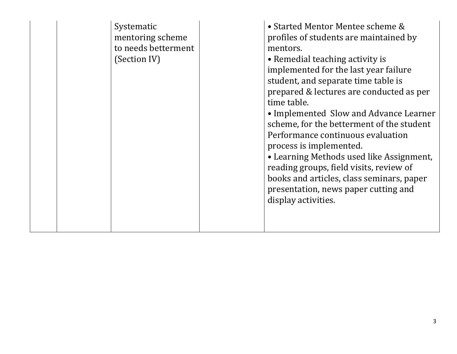| Systematic<br>mentoring scheme<br>to needs betterment<br>(Section IV) | • Started Mentor Mentee scheme &<br>profiles of students are maintained by<br>mentors.<br>• Remedial teaching activity is<br>implemented for the last year failure<br>student, and separate time table is<br>prepared & lectures are conducted as per<br>time table.<br>• Implemented Slow and Advance Learner<br>scheme, for the betterment of the student<br>Performance continuous evaluation<br>process is implemented.<br>• Learning Methods used like Assignment,<br>reading groups, field visits, review of<br>books and articles, class seminars, paper<br>presentation, news paper cutting and<br>display activities. |
|-----------------------------------------------------------------------|--------------------------------------------------------------------------------------------------------------------------------------------------------------------------------------------------------------------------------------------------------------------------------------------------------------------------------------------------------------------------------------------------------------------------------------------------------------------------------------------------------------------------------------------------------------------------------------------------------------------------------|
|-----------------------------------------------------------------------|--------------------------------------------------------------------------------------------------------------------------------------------------------------------------------------------------------------------------------------------------------------------------------------------------------------------------------------------------------------------------------------------------------------------------------------------------------------------------------------------------------------------------------------------------------------------------------------------------------------------------------|

L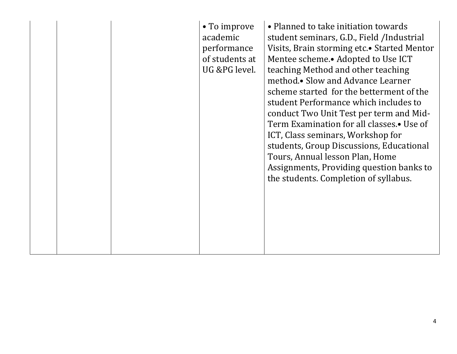|  |  |  | • To improve<br>academic<br>performance<br>of students at<br>UG &PG level. | • Planned to take initiation towards<br>student seminars, G.D., Field /Industrial<br>Visits, Brain storming etc. • Started Mentor<br>Mentee scheme. Adopted to Use ICT<br>teaching Method and other teaching<br>method.• Slow and Advance Learner<br>scheme started for the betterment of the<br>student Performance which includes to<br>conduct Two Unit Test per term and Mid-<br>Term Examination for all classes.• Use of<br>ICT, Class seminars, Workshop for<br>students, Group Discussions, Educational<br>Tours, Annual lesson Plan, Home<br>Assignments, Providing question banks to<br>the students. Completion of syllabus. |
|--|--|--|----------------------------------------------------------------------------|-----------------------------------------------------------------------------------------------------------------------------------------------------------------------------------------------------------------------------------------------------------------------------------------------------------------------------------------------------------------------------------------------------------------------------------------------------------------------------------------------------------------------------------------------------------------------------------------------------------------------------------------|
|--|--|--|----------------------------------------------------------------------------|-----------------------------------------------------------------------------------------------------------------------------------------------------------------------------------------------------------------------------------------------------------------------------------------------------------------------------------------------------------------------------------------------------------------------------------------------------------------------------------------------------------------------------------------------------------------------------------------------------------------------------------------|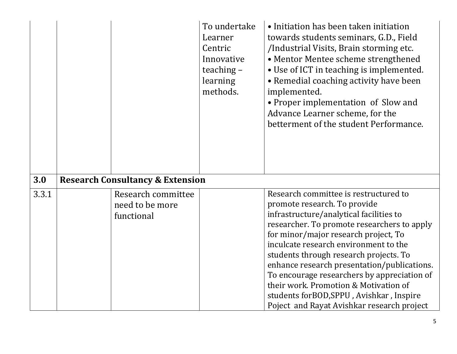|       |                                                     | To undertake<br>Learner<br>Centric<br>Innovative<br>teaching $-$<br>learning<br>methods. | • Initiation has been taken initiation<br>towards students seminars, G.D., Field<br>/Industrial Visits, Brain storming etc.<br>• Mentor Mentee scheme strengthened<br>• Use of ICT in teaching is implemented.<br>• Remedial coaching activity have been<br>implemented.<br>• Proper implementation of Slow and<br>Advance Learner scheme, for the<br>betterment of the student Performance.                                                                                                                                 |
|-------|-----------------------------------------------------|------------------------------------------------------------------------------------------|------------------------------------------------------------------------------------------------------------------------------------------------------------------------------------------------------------------------------------------------------------------------------------------------------------------------------------------------------------------------------------------------------------------------------------------------------------------------------------------------------------------------------|
| 3.0   | <b>Research Consultancy &amp; Extension</b>         |                                                                                          |                                                                                                                                                                                                                                                                                                                                                                                                                                                                                                                              |
| 3.3.1 | Research committee<br>need to be more<br>functional |                                                                                          | Research committee is restructured to<br>promote research. To provide<br>infrastructure/analytical facilities to<br>researcher. To promote researchers to apply<br>for minor/major research project, To<br>inculcate research environment to the<br>students through research projects. To<br>enhance research presentation/publications.<br>To encourage researchers by appreciation of<br>their work. Promotion & Motivation of<br>students for BOD, SPPU, Avishkar, Inspire<br>Poject and Rayat Avishkar research project |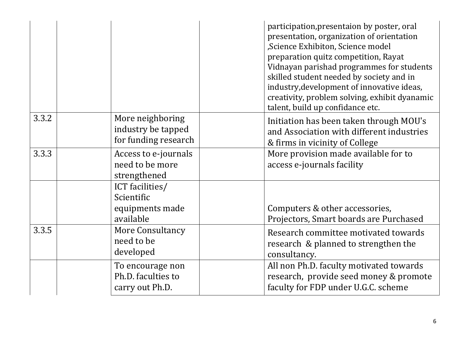|       |                                                                | participation, presentaion by poster, oral<br>presentation, organization of orientation<br>,Science Exhibiton, Science model<br>preparation quitz competition, Rayat<br>Vidnayan parishad programmes for students<br>skilled student needed by society and in<br>industry, development of innovative ideas,<br>creativity, problem solving, exhibit dyanamic<br>talent, build up confidance etc. |
|-------|----------------------------------------------------------------|--------------------------------------------------------------------------------------------------------------------------------------------------------------------------------------------------------------------------------------------------------------------------------------------------------------------------------------------------------------------------------------------------|
| 3.3.2 | More neighboring<br>industry be tapped<br>for funding research | Initiation has been taken through MOU's<br>and Association with different industries<br>& firms in vicinity of College                                                                                                                                                                                                                                                                           |
| 3.3.3 | Access to e-journals<br>need to be more<br>strengthened        | More provision made available for to<br>access e-journals facility                                                                                                                                                                                                                                                                                                                               |
|       | ICT facilities/<br>Scientific<br>equipments made<br>available  | Computers & other accessories,<br>Projectors, Smart boards are Purchased                                                                                                                                                                                                                                                                                                                         |
| 3.3.5 | More Consultancy<br>need to be<br>developed                    | Research committee motivated towards<br>research & planned to strengthen the<br>consultancy.                                                                                                                                                                                                                                                                                                     |
|       | To encourage non<br>Ph.D. faculties to<br>carry out Ph.D.      | All non Ph.D. faculty motivated towards<br>research, provide seed money & promote<br>faculty for FDP under U.G.C. scheme                                                                                                                                                                                                                                                                         |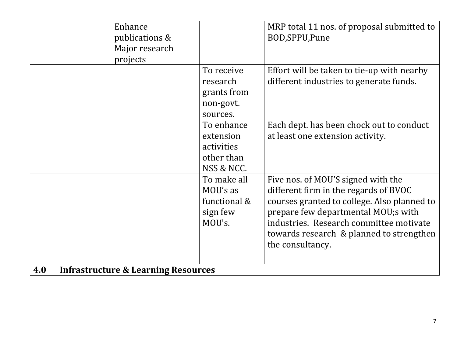|     | Enhance<br>publications &<br>Major research<br>projects |                                                                   | MRP total 11 nos. of proposal submitted to<br>BOD, SPPU, Pune                                                                                                                                                                                                                |
|-----|---------------------------------------------------------|-------------------------------------------------------------------|------------------------------------------------------------------------------------------------------------------------------------------------------------------------------------------------------------------------------------------------------------------------------|
|     |                                                         | To receive<br>research<br>grants from<br>non-govt.<br>sources.    | Effort will be taken to tie-up with nearby<br>different industries to generate funds.                                                                                                                                                                                        |
|     |                                                         | To enhance<br>extension<br>activities<br>other than<br>NSS & NCC. | Each dept. has been chock out to conduct<br>at least one extension activity.                                                                                                                                                                                                 |
|     |                                                         | To make all<br>MOU's as<br>functional &<br>sign few<br>MOU's.     | Five nos. of MOU'S signed with the<br>different firm in the regards of BVOC<br>courses granted to college. Also planned to<br>prepare few departmental MOU;s with<br>industries. Research committee motivate<br>towards research & planned to strengthen<br>the consultancy. |
| 4.0 | <b>Infrastructure &amp; Learning Resources</b>          |                                                                   |                                                                                                                                                                                                                                                                              |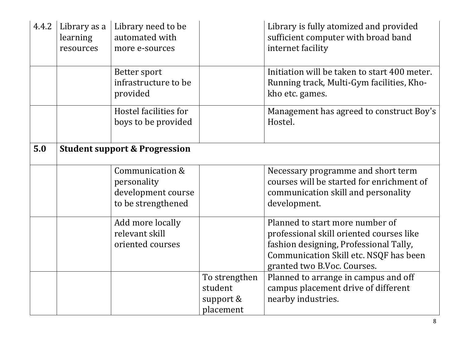| 4.4.2 | Library as a<br>learning<br>resources | Library need to be<br>automated with<br>more e-sources                     |                                                    | Library is fully atomized and provided<br>sufficient computer with broad band<br>internet facility                                                                                             |
|-------|---------------------------------------|----------------------------------------------------------------------------|----------------------------------------------------|------------------------------------------------------------------------------------------------------------------------------------------------------------------------------------------------|
|       |                                       | Better sport<br>infrastructure to be<br>provided                           |                                                    | Initiation will be taken to start 400 meter.<br>Running track, Multi-Gym facilities, Kho-<br>kho etc. games.                                                                                   |
|       |                                       | Hostel facilities for<br>boys to be provided                               |                                                    | Management has agreed to construct Boy's<br>Hostel.                                                                                                                                            |
| 5.0   |                                       | <b>Student support &amp; Progression</b>                                   |                                                    |                                                                                                                                                                                                |
|       |                                       | Communication &<br>personality<br>development course<br>to be strengthened |                                                    | Necessary programme and short term<br>courses will be started for enrichment of<br>communication skill and personality<br>development.                                                         |
|       |                                       | Add more locally<br>relevant skill<br>oriented courses                     |                                                    | Planned to start more number of<br>professional skill oriented courses like<br>fashion designing, Professional Tally,<br>Communication Skill etc. NSQF has been<br>granted two B.Voc. Courses. |
|       |                                       |                                                                            | To strengthen<br>student<br>support &<br>placement | Planned to arrange in campus and off<br>campus placement drive of different<br>nearby industries.                                                                                              |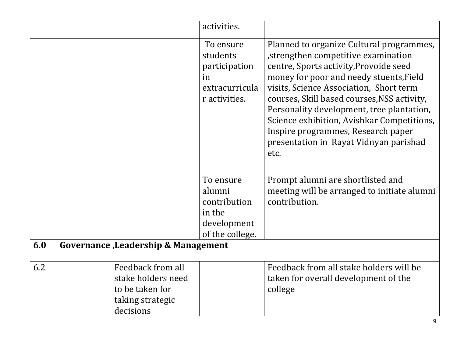|     |                                                                                             | activities.                                                                     |                                                                                                                                                                                                                                                                                                                                                                                                                                                  |
|-----|---------------------------------------------------------------------------------------------|---------------------------------------------------------------------------------|--------------------------------------------------------------------------------------------------------------------------------------------------------------------------------------------------------------------------------------------------------------------------------------------------------------------------------------------------------------------------------------------------------------------------------------------------|
|     |                                                                                             | To ensure<br>students<br>participation<br>in<br>extracurricula<br>r activities. | Planned to organize Cultural programmes,<br>strengthen competitive examination<br>centre, Sports activity, Provoide seed<br>money for poor and needy stuents, Field<br>visits, Science Association, Short term<br>courses, Skill based courses, NSS activity,<br>Personality development, tree plantation,<br>Science exhibition, Avishkar Competitions,<br>Inspire programmes, Research paper<br>presentation in Rayat Vidnyan parishad<br>etc. |
|     |                                                                                             | To ensure<br>alumni<br>contribution<br>in the<br>development<br>of the college. | Prompt alumni are shortlisted and<br>meeting will be arranged to initiate alumni<br>contribution.                                                                                                                                                                                                                                                                                                                                                |
| 6.0 | Governance, Leadership & Management                                                         |                                                                                 |                                                                                                                                                                                                                                                                                                                                                                                                                                                  |
| 6.2 | Feedback from all<br>stake holders need<br>to be taken for<br>taking strategic<br>decisions |                                                                                 | Feedback from all stake holders will be<br>taken for overall development of the<br>college                                                                                                                                                                                                                                                                                                                                                       |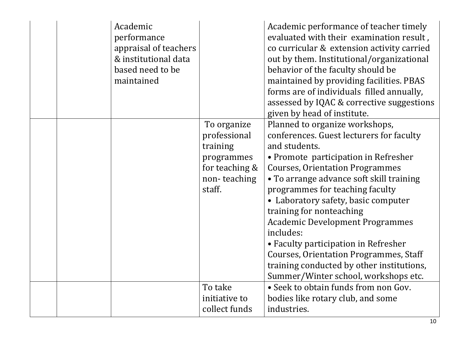|  | Academic<br>performance<br>appraisal of teachers<br>& institutional data<br>based need to be<br>maintained |                                                                                                   | Academic performance of teacher timely<br>evaluated with their examination result,<br>co curricular & extension activity carried<br>out by them. Institutional/organizational<br>behavior of the faculty should be<br>maintained by providing facilities. PBAS<br>forms are of individuals filled annually,<br>assessed by IQAC & corrective suggestions<br>given by head of institute.                                                                                                                                                                              |
|--|------------------------------------------------------------------------------------------------------------|---------------------------------------------------------------------------------------------------|----------------------------------------------------------------------------------------------------------------------------------------------------------------------------------------------------------------------------------------------------------------------------------------------------------------------------------------------------------------------------------------------------------------------------------------------------------------------------------------------------------------------------------------------------------------------|
|  |                                                                                                            | To organize<br>professional<br>training<br>programmes<br>for teaching &<br>non-teaching<br>staff. | Planned to organize workshops,<br>conferences. Guest lecturers for faculty<br>and students.<br>• Promote participation in Refresher<br><b>Courses, Orientation Programmes</b><br>• To arrange advance soft skill training<br>programmes for teaching faculty<br>• Laboratory safety, basic computer<br>training for nonteaching<br><b>Academic Development Programmes</b><br>includes:<br>• Faculty participation in Refresher<br><b>Courses, Orientation Programmes, Staff</b><br>training conducted by other institutions,<br>Summer/Winter school, workshops etc. |
|  |                                                                                                            | To take<br>initiative to<br>collect funds                                                         | • Seek to obtain funds from non Gov.<br>bodies like rotary club, and some<br>industries.                                                                                                                                                                                                                                                                                                                                                                                                                                                                             |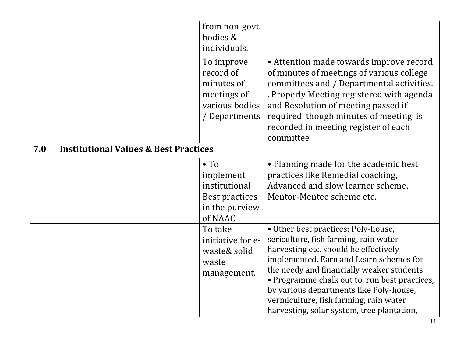|     |                                                  | from non-govt.<br>bodies &<br>individuals.                                                |                                                                                                                                                                                                                                                                                                                                                                                                  |
|-----|--------------------------------------------------|-------------------------------------------------------------------------------------------|--------------------------------------------------------------------------------------------------------------------------------------------------------------------------------------------------------------------------------------------------------------------------------------------------------------------------------------------------------------------------------------------------|
|     |                                                  | To improve<br>record of<br>minutes of<br>meetings of<br>various bodies<br>/ Departments   | • Attention made towards improve record<br>of minutes of meetings of various college<br>committees and / Departmental activities.<br>. Properly Meeting registered with agenda<br>and Resolution of meeting passed if<br>required though minutes of meeting is<br>recorded in meeting register of each<br>committee                                                                              |
| 7.0 | <b>Institutional Values &amp; Best Practices</b> |                                                                                           |                                                                                                                                                                                                                                                                                                                                                                                                  |
|     |                                                  | $\bullet$ To<br>implement<br>institutional<br>Best practices<br>in the purview<br>of NAAC | • Planning made for the academic best<br>practices like Remedial coaching,<br>Advanced and slow learner scheme,<br>Mentor-Mentee scheme etc.                                                                                                                                                                                                                                                     |
|     |                                                  | To take<br>initiative for e-<br>waste& solid<br>waste<br>management.                      | • Other best practices: Poly-house,<br>sericulture, fish farming, rain water<br>harvesting etc. should be effectively<br>implemented. Earn and Learn schemes for<br>the needy and financially weaker students<br>• Programme chalk out to run best practices,<br>by various departments like Poly-house,<br>vermiculture, fish farming, rain water<br>harvesting, solar system, tree plantation, |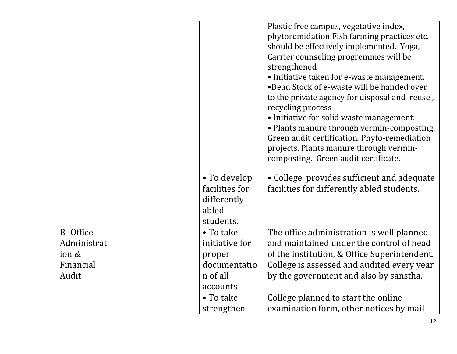|             |                                | Plastic free campus, vegetative index,<br>phytoremidation Fish farming practices etc.<br>should be effectively implemented. Yoga,<br>Carrier counseling progremmes will be<br>strengthened<br>• Initiative taken for e-waste management.<br>•Dead Stock of e-waste will be handed over<br>to the private agency for disposal and reuse,<br>recycling process<br>• Initiative for solid waste management:<br>• Plants manure through vermin-composting.<br>Green audit certification. Phyto-remediation<br>projects. Plants manure through vermin-<br>composting. Green audit certificate. |
|-------------|--------------------------------|-------------------------------------------------------------------------------------------------------------------------------------------------------------------------------------------------------------------------------------------------------------------------------------------------------------------------------------------------------------------------------------------------------------------------------------------------------------------------------------------------------------------------------------------------------------------------------------------|
|             | • To develop<br>facilities for | • College provides sufficient and adequate<br>facilities for differently abled students.                                                                                                                                                                                                                                                                                                                                                                                                                                                                                                  |
|             | differently                    |                                                                                                                                                                                                                                                                                                                                                                                                                                                                                                                                                                                           |
|             | abled<br>students.             |                                                                                                                                                                                                                                                                                                                                                                                                                                                                                                                                                                                           |
| B-Office    | $\bullet$ To take              | The office administration is well planned                                                                                                                                                                                                                                                                                                                                                                                                                                                                                                                                                 |
| Administrat | initiative for                 | and maintained under the control of head                                                                                                                                                                                                                                                                                                                                                                                                                                                                                                                                                  |
| ion &       | proper                         | of the institution, & Office Superintendent.                                                                                                                                                                                                                                                                                                                                                                                                                                                                                                                                              |
| Financial   | documentatio                   | College is assessed and audited every year                                                                                                                                                                                                                                                                                                                                                                                                                                                                                                                                                |
| Audit       | n of all                       | by the government and also by sanstha.                                                                                                                                                                                                                                                                                                                                                                                                                                                                                                                                                    |
|             | accounts                       |                                                                                                                                                                                                                                                                                                                                                                                                                                                                                                                                                                                           |
|             | • To take                      | College planned to start the online                                                                                                                                                                                                                                                                                                                                                                                                                                                                                                                                                       |
|             | strengthen                     | examination form, other notices by mail                                                                                                                                                                                                                                                                                                                                                                                                                                                                                                                                                   |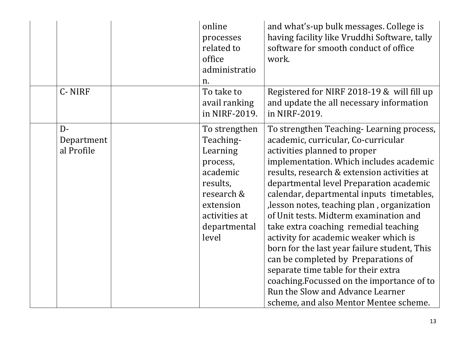|                                   | online<br>processes<br>related to<br>office<br>administratio<br>n.                                                                              | and what's-up bulk messages. College is<br>having facility like Vruddhi Software, tally<br>software for smooth conduct of office<br>work.                                                                                                                                                                                                                                                                                                                                                                                                                                                                                                                                                                                            |
|-----------------------------------|-------------------------------------------------------------------------------------------------------------------------------------------------|--------------------------------------------------------------------------------------------------------------------------------------------------------------------------------------------------------------------------------------------------------------------------------------------------------------------------------------------------------------------------------------------------------------------------------------------------------------------------------------------------------------------------------------------------------------------------------------------------------------------------------------------------------------------------------------------------------------------------------------|
| C-NIRF                            | To take to<br>avail ranking<br>in NIRF-2019.                                                                                                    | Registered for NIRF 2018-19 & will fill up<br>and update the all necessary information<br>in NIRF-2019.                                                                                                                                                                                                                                                                                                                                                                                                                                                                                                                                                                                                                              |
| $D -$<br>Department<br>al Profile | To strengthen<br>Teaching-<br>Learning<br>process,<br>academic<br>results,<br>research &<br>extension<br>activities at<br>departmental<br>level | To strengthen Teaching-Learning process,<br>academic, curricular, Co-curricular<br>activities planned to proper<br>implementation. Which includes academic<br>results, research & extension activities at<br>departmental level Preparation academic<br>calendar, departmental inputs timetables,<br>lesson notes, teaching plan, organization<br>of Unit tests. Midterm examination and<br>take extra coaching remedial teaching<br>activity for academic weaker which is<br>born for the last year failure student, This<br>can be completed by Preparations of<br>separate time table for their extra<br>coaching. Focussed on the importance of to<br>Run the Slow and Advance Learner<br>scheme, and also Mentor Mentee scheme. |